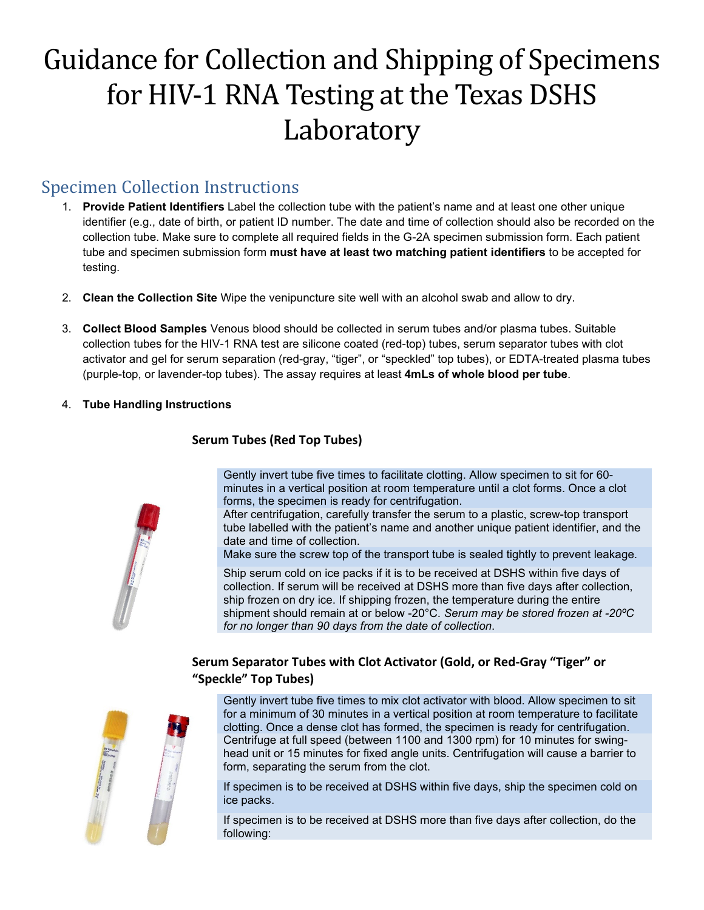# Guidance for Collection and Shipping of Specimens for HIV-1 RNA Testing at the Texas DSHS Laboratory

## Specimen Collection Instructions

- 1. **Provide Patient Identifiers** Label the collection tube with the patient's name and at least one other unique identifier (e.g., date of birth, or patient ID number. The date and time of collection should also be recorded on the collection tube. Make sure to complete all required fields in the G-2A specimen submission form. Each patient tube and specimen submission form **must have at least two matching patient identifiers** to be accepted for testing.
- 2. **Clean the Collection Site** Wipe the venipuncture site well with an alcohol swab and allow to dry.
- 3. **Collect Blood Samples** Venous blood should be collected in serum tubes and/or plasma tubes. Suitable collection tubes for the HIV-1 RNA test are silicone coated (red-top) tubes, serum separator tubes with clot activator and gel for serum separation (red-gray, "tiger", or "speckled" top tubes), or EDTA-treated plasma tubes (purple-top, or lavender-top tubes). The assay requires at least **4mLs of whole blood per tube**.
- 4. **Tube Handling Instructions**



## **Serum Tubes (Red Top Tubes)**

Gently invert tube five times to facilitate clotting. Allow specimen to sit for 60 minutes in a vertical position at room temperature until a clot forms. Once a clot forms, the specimen is ready for centrifugation.

After centrifugation, carefully transfer the serum to a plastic, screw-top transport tube labelled with the patient's name and another unique patient identifier, and the date and time of collection.

Make sure the screw top of the transport tube is sealed tightly to prevent leakage.

Ship serum cold on ice packs if it is to be received at DSHS within five days of collection. If serum will be received at DSHS more than five days after collection, ship frozen on dry ice. If shipping frozen, the temperature during the entire shipment should remain at or below -20°C. *Serum may be stored frozen at -20ºC for no longer than 90 days from the date of collection*.

## **Serum Separator Tubes with Clot Activator (Gold, or Red-Gray "Tiger" or "Speckle" Top Tubes)**



Gently invert tube five times to mix clot activator with blood. Allow specimen to sit for a minimum of 30 minutes in a vertical position at room temperature to facilitate clotting. Once a dense clot has formed, the specimen is ready for centrifugation. Centrifuge at full speed (between 1100 and 1300 rpm) for 10 minutes for swinghead unit or 15 minutes for fixed angle units. Centrifugation will cause a barrier to form, separating the serum from the clot.

If specimen is to be received at DSHS within five days, ship the specimen cold on ice packs.

If specimen is to be received at DSHS more than five days after collection, do the following: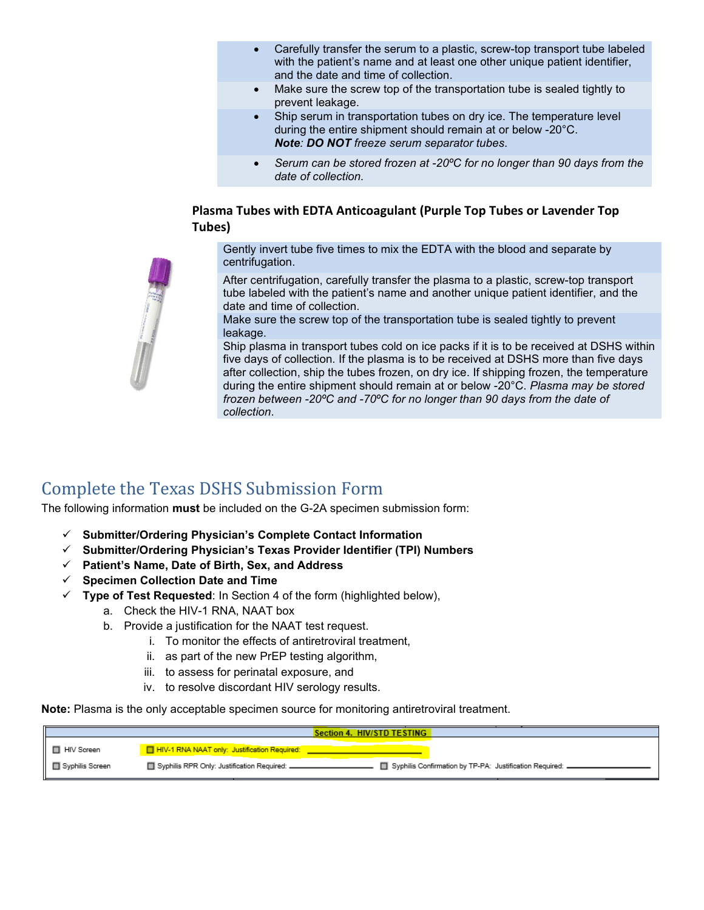- Carefully transfer the serum to a plastic, screw-top transport tube labeled with the patient's name and at least one other unique patient identifier, and the date and time of collection.
- Make sure the screw top of the transportation tube is sealed tightly to prevent leakage.
- Ship serum in transportation tubes on dry ice. The temperature level during the entire shipment should remain at or below -20°C. *Note: DO NOT freeze serum separator tubes*.
- *Serum can be stored frozen at -20ºC for no longer than 90 days from the date of collection.*

#### **Plasma Tubes with EDTA Anticoagulant (Purple Top Tubes or Lavender Top Tubes)**

Gently invert tube five times to mix the EDTA with the blood and separate by centrifugation.

After centrifugation, carefully transfer the plasma to a plastic, screw-top transport tube labeled with the patient's name and another unique patient identifier, and the date and time of collection.

Make sure the screw top of the transportation tube is sealed tightly to prevent leakage.

Ship plasma in transport tubes cold on ice packs if it is to be received at DSHS within five days of collection. If the plasma is to be received at DSHS more than five days after collection, ship the tubes frozen, on dry ice. If shipping frozen, the temperature during the entire shipment should remain at or below -20°C. *Plasma may be stored frozen between -20ºC and -70ºC for no longer than 90 days from the date of collection*.

## Complete the Texas DSHS Submission Form

The following information **must** be included on the G-2A specimen submission form:

- **Submitter/Ordering Physician's Complete Contact Information**
- **Submitter/Ordering Physician's Texas Provider Identifier (TPI) Numbers**
- **Patient's Name, Date of Birth, Sex, and Address**
- **Specimen Collection Date and Time**
- $\checkmark$  Type of Test Requested: In Section 4 of the form (highlighted below),
	- a. Check the HIV-1 RNA, NAAT box
	- b. Provide a justification for the NAAT test request.
		- i. To monitor the effects of antiretroviral treatment,
		- ii. as part of the new PrEP testing algorithm,
		- iii. to assess for perinatal exposure, and
		- iv. to resolve discordant HIV serology results.

**Note:** Plasma is the only acceptable specimen source for monitoring antiretroviral treatment.

| Section 4. HIV/STD TESTING |                                                                                                           |
|----------------------------|-----------------------------------------------------------------------------------------------------------|
| □ HIV Screen               | HIV-1 RNA NAAT only: Justification Required:                                                              |
| □ Syphilis Screen          | Syphilis RPR Only: Justification Required: _<br>Syphilis Confirmation by TP-PA: Justification Required: . |